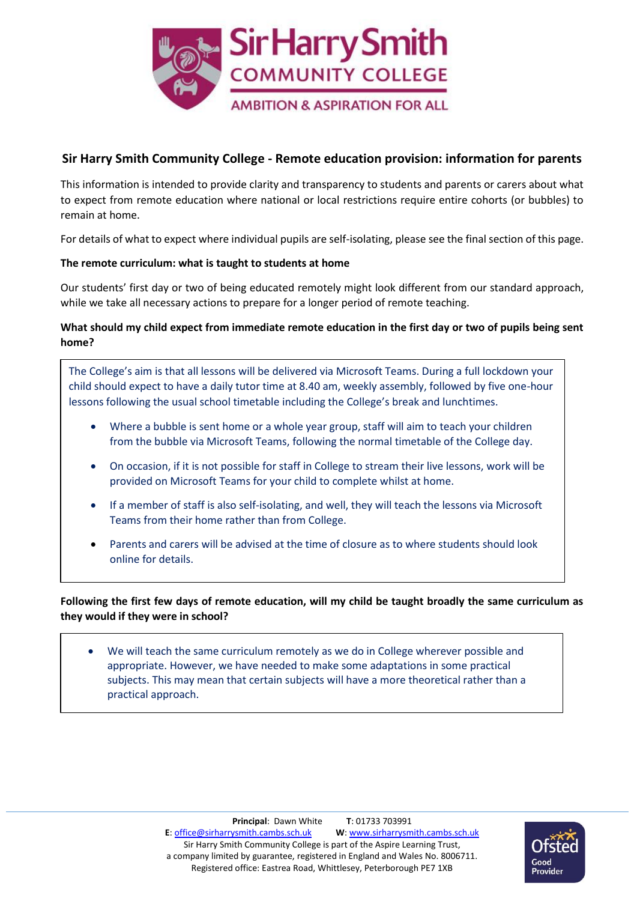

## **Sir Harry Smith Community College - Remote education provision: information for parents**

This information is intended to provide clarity and transparency to students and parents or carers about what to expect from remote education where national or local restrictions require entire cohorts (or bubbles) to remain at home.

For details of what to expect where individual pupils are self-isolating, please see the final section of this page.

#### **The remote curriculum: what is taught to students at home**

Our students' first day or two of being educated remotely might look different from our standard approach, while we take all necessary actions to prepare for a longer period of remote teaching.

### **What should my child expect from immediate remote education in the first day or two of pupils being sent home?**

The College's aim is that all lessons will be delivered via Microsoft Teams. During a full lockdown your child should expect to have a daily tutor time at 8.40 am, weekly assembly, followed by five one-hour lessons following the usual school timetable including the College's break and lunchtimes.

- Where a bubble is sent home or a whole year group, staff will aim to teach your children from the bubble via Microsoft Teams, following the normal timetable of the College day.
- On occasion, if it is not possible for staff in College to stream their live lessons, work will be provided on Microsoft Teams for your child to complete whilst at home.
- If a member of staff is also self-isolating, and well, they will teach the lessons via Microsoft Teams from their home rather than from College.
- Parents and carers will be advised at the time of closure as to where students should look online for details.

### **Following the first few days of remote education, will my child be taught broadly the same curriculum as they would if they were in school?**

 We will teach the same curriculum remotely as we do in College wherever possible and appropriate. However, we have needed to make some adaptations in some practical subjects. This may mean that certain subjects will have a more theoretical rather than a practical approach.

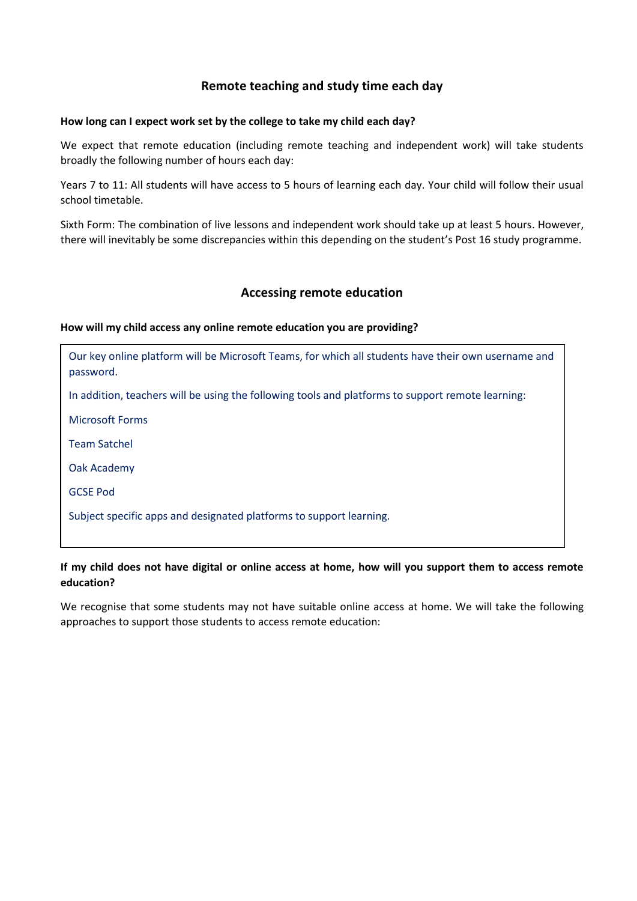## **Remote teaching and study time each day**

#### **How long can I expect work set by the college to take my child each day?**

We expect that remote education (including remote teaching and independent work) will take students broadly the following number of hours each day:

Years 7 to 11: All students will have access to 5 hours of learning each day. Your child will follow their usual school timetable.

Sixth Form: The combination of live lessons and independent work should take up at least 5 hours. However, there will inevitably be some discrepancies within this depending on the student's Post 16 study programme.

## **Accessing remote education**

#### **How will my child access any online remote education you are providing?**

Our key online platform will be Microsoft Teams, for which all students have their own username and password.

In addition, teachers will be using the following tools and platforms to support remote learning:

Microsoft Forms

Team Satchel

Oak Academy

GCSE Pod

Subject specific apps and designated platforms to support learning.

#### **If my child does not have digital or online access at home, how will you support them to access remote education?**

We recognise that some students may not have suitable online access at home. We will take the following approaches to support those students to access remote education: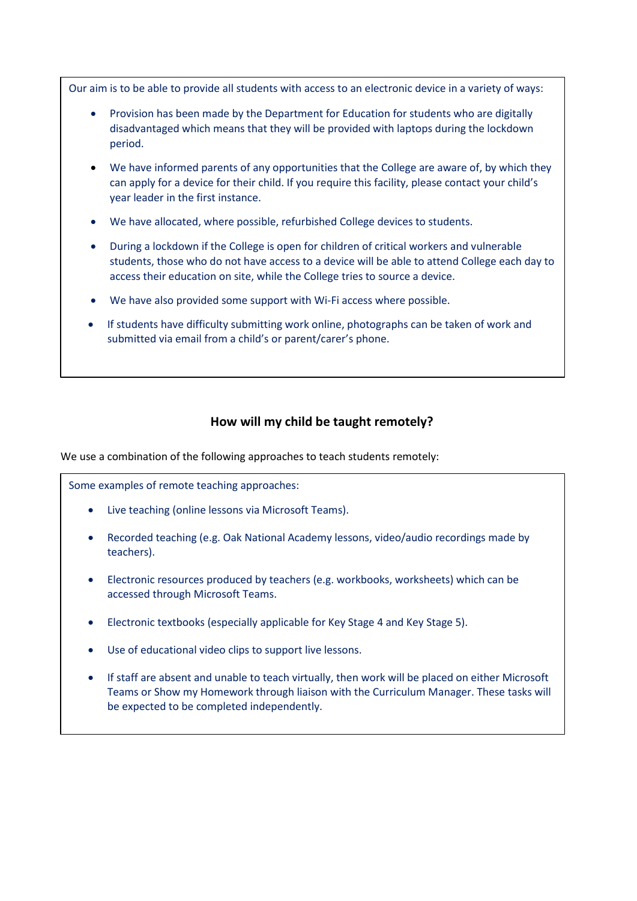Our aim is to be able to provide all students with access to an electronic device in a variety of ways:

- Provision has been made by the Department for Education for students who are digitally disadvantaged which means that they will be provided with laptops during the lockdown period.
- We have informed parents of any opportunities that the College are aware of, by which they can apply for a device for their child. If you require this facility, please contact your child's year leader in the first instance.
- We have allocated, where possible, refurbished College devices to students.
- During a lockdown if the College is open for children of critical workers and vulnerable students, those who do not have access to a device will be able to attend College each day to access their education on site, while the College tries to source a device.
- We have also provided some support with Wi-Fi access where possible.
- If students have difficulty submitting work online, photographs can be taken of work and submitted via email from a child's or parent/carer's phone.

## **How will my child be taught remotely?**

We use a combination of the following approaches to teach students remotely:

Some examples of remote teaching approaches:

- Live teaching (online lessons via Microsoft Teams).
- Recorded teaching (e.g. Oak National Academy lessons, video/audio recordings made by teachers).
- Electronic resources produced by teachers (e.g. workbooks, worksheets) which can be accessed through Microsoft Teams.
- Electronic textbooks (especially applicable for Key Stage 4 and Key Stage 5).
- Use of educational video clips to support live lessons.
- If staff are absent and unable to teach virtually, then work will be placed on either Microsoft Teams or Show my Homework through liaison with the Curriculum Manager. These tasks will be expected to be completed independently.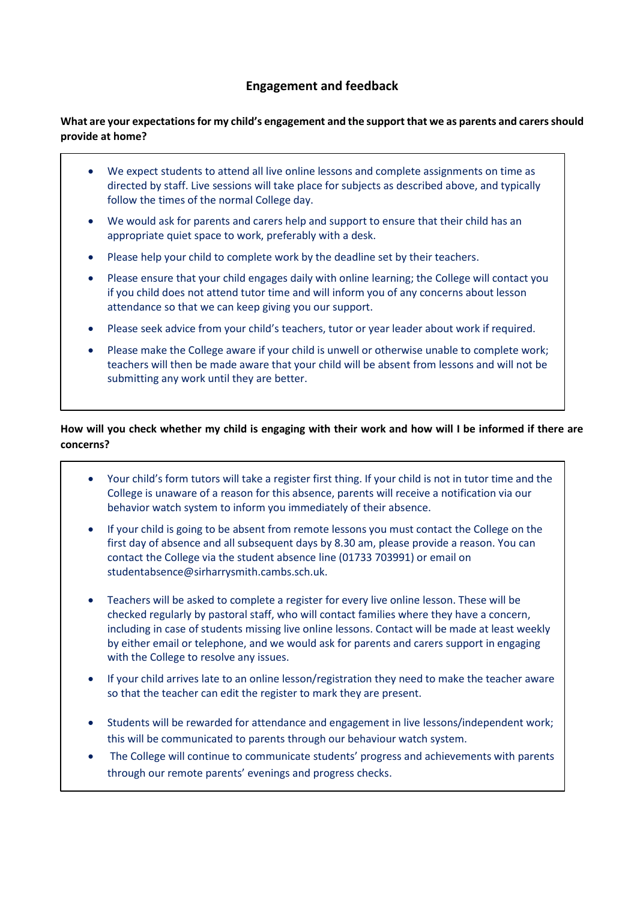## **Engagement and feedback**

### **What are your expectations for my child's engagement and the support that we as parents and carers should provide at home?**

- We expect students to attend all live online lessons and complete assignments on time as directed by staff. Live sessions will take place for subjects as described above, and typically follow the times of the normal College day.
- We would ask for parents and carers help and support to ensure that their child has an appropriate quiet space to work, preferably with a desk.
- Please help your child to complete work by the deadline set by their teachers.
- Please ensure that your child engages daily with online learning; the College will contact you if you child does not attend tutor time and will inform you of any concerns about lesson attendance so that we can keep giving you our support.
- Please seek advice from your child's teachers, tutor or year leader about work if required.
- Please make the College aware if your child is unwell or otherwise unable to complete work; teachers will then be made aware that your child will be absent from lessons and will not be submitting any work until they are better.

### **How will you check whether my child is engaging with their work and how will I be informed if there are concerns?**

- Your child's form tutors will take a register first thing. If your child is not in tutor time and the College is unaware of a reason for this absence, parents will receive a notification via our behavior watch system to inform you immediately of their absence.
- If your child is going to be absent from remote lessons you must contact the College on the first day of absence and all subsequent days by 8.30 am, please provide a reason. You can contact the College via the student absence line (01733 703991) or email on [studentabsence@sirharrysmith.cambs.sch.uk.](mailto:studentabsence@sirharrysmith.cambs.sch.uk)
- Teachers will be asked to complete a register for every live online lesson. These will be checked regularly by pastoral staff, who will contact families where they have a concern, including in case of students missing live online lessons. Contact will be made at least weekly by either email or telephone, and we would ask for parents and carers support in engaging with the College to resolve any issues.
- If your child arrives late to an online lesson/registration they need to make the teacher aware so that the teacher can edit the register to mark they are present.
- Students will be rewarded for attendance and engagement in live lessons/independent work; this will be communicated to parents through our behaviour watch system.
- The College will continue to communicate students' progress and achievements with parents through our remote parents' evenings and progress checks.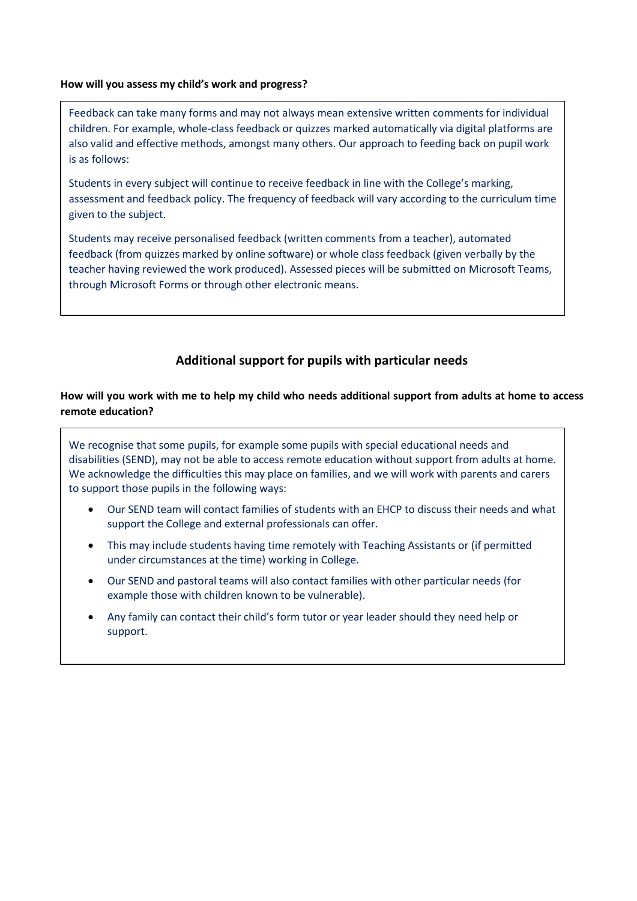#### **How will you assess my child's work and progress?**

Feedback can take many forms and may not always mean extensive written comments for individual children. For example, whole-class feedback or quizzes marked automatically via digital platforms are also valid and effective methods, amongst many others. Our approach to feeding back on pupil work is as follows:

Students in every subject will continue to receive feedback in line with the College's marking, assessment and feedback policy. The frequency of feedback will vary according to the curriculum time given to the subject.

Students may receive personalised feedback (written comments from a teacher), automated feedback (from quizzes marked by online software) or whole class feedback (given verbally by the teacher having reviewed the work produced). Assessed pieces will be submitted on Microsoft Teams, through Microsoft Forms or through other electronic means.

# **Additional support for pupils with particular needs**

#### **How will you work with me to help my child who needs additional support from adults at home to access remote education?**

We recognise that some pupils, for example some pupils with special educational needs and disabilities (SEND), may not be able to access remote education without support from adults at home. We acknowledge the difficulties this may place on families, and we will work with parents and carers to support those pupils in the following ways:

- Our SEND team will contact families of students with an EHCP to discuss their needs and what support the College and external professionals can offer.
- This may include students having time remotely with Teaching Assistants or (if permitted under circumstances at the time) working in College.
- Our SEND and pastoral teams will also contact families with other particular needs (for example those with children known to be vulnerable).
- Any family can contact their child's form tutor or year leader should they need help or support.